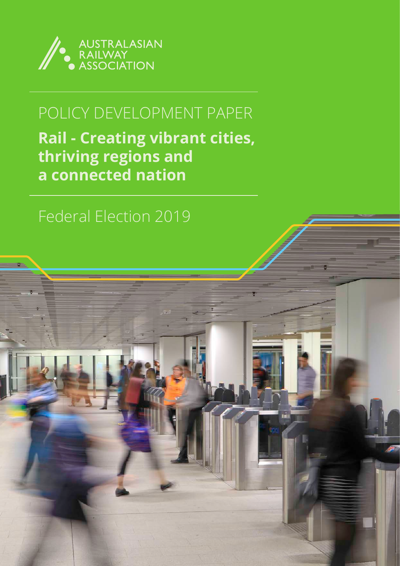

# POLICY DEVELOPMENT PAPER

**Rail - Creating vibrant cities, thriving regions and a connected nation**

# Federal Election 2019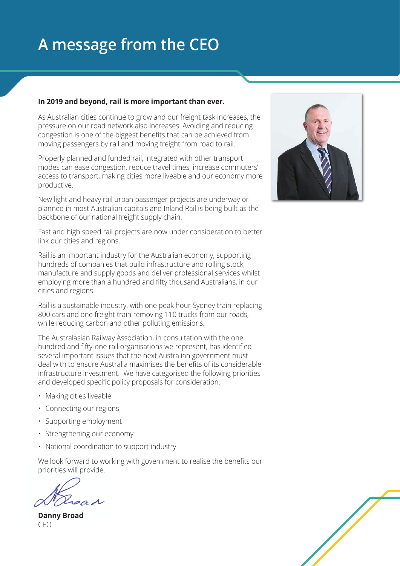# **A message from the CEO**

#### **In 2019 and beyond, rail is more important than ever.**

As Australian cities continue to grow and our freight task increases, the pressure on our road network also increases. Avoiding and reducing congestion is one of the biggest benefits that can be achieved from moving passengers by rail and moving freight from road to rail.

Properly planned and funded rail, integrated with other transport modes can ease congestion, reduce travel times, increase commuters' access to transport, making cities more liveable and our economy more productive.

New light and heavy rail urban passenger projects are underway or planned in most Australian capitals and Inland Rail is being built as the backbone of our national freight supply chain.

Fast and high speed rail projects are now under consideration to better link our cities and regions.

Rail is an important industry for the Australian economy, supporting hundreds of companies that build infrastructure and rolling stock, manufacture and supply goods and deliver professional services whilst employing more than a hundred and fifty thousand Australians, in our cities and regions.

Rail is a sustainable industry, with one peak hour Sydney train replacing 800 cars and one freight train removing 110 trucks from our roads, while reducing carbon and other polluting emissions.

The Australasian Railway Association, in consultation with the one hundred and fifty-one rail organisations we represent, has identified several important issues that the next Australian government must deal with to ensure Australia maximises the benefits of its considerable infrastructure investment. We have categorised the following priorities and developed specific policy proposals for consideration:

- Making cities liveable
- Connecting our regions
- Supporting employment
- Strengthening our economy
- National coordination to support industry

We look forward to working with government to realise the benefits our priorities will provide.

**Danny Broad** CEO



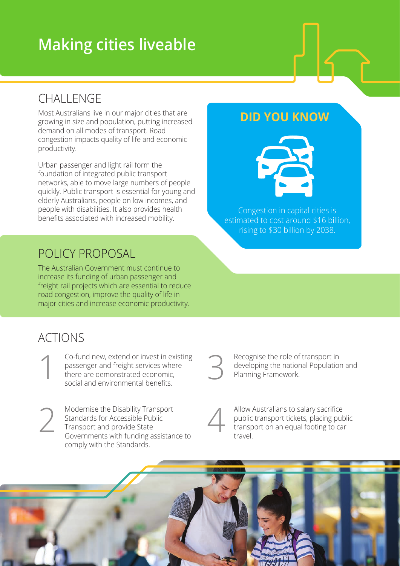# **Making cities liveable**

# CHALLENGE

Most Australians live in our major cities that are growing in size and population, putting increased demand on all modes of transport. Road congestion impacts quality of life and economic productivity.

Urban passenger and light rail form the foundation of integrated public transport networks, able to move large numbers of people quickly. Public transport is essential for young and elderly Australians, people on low incomes, and people with disabilities. It also provides health benefits associated with increased mobility.

### POLICY PROPOSAL

The Australian Government must continue to increase its funding of urban passenger and freight rail projects which are essential to reduce road congestion, improve the quality of life in major cities and increase economic productivity.

## ACTIONS

Co-fund new, extend or invest in existing passenger and freight services where there are demonstrated economic, social and environmental benefits. 1

2

Modernise the Disability Transport Standards for Accessible Public Transport and provide State Governments with funding assistance to comply with the Standards.



Recognise the role of transport in developing the national Population and Planning Framework.



Allow Australians to salary sacrifice public transport tickets, placing public transport on an equal footing to car travel.



#### **DID YOU KNOW**



Congestion in capital cities is estimated to cost around \$16 billion, rising to \$30 billion by 2038.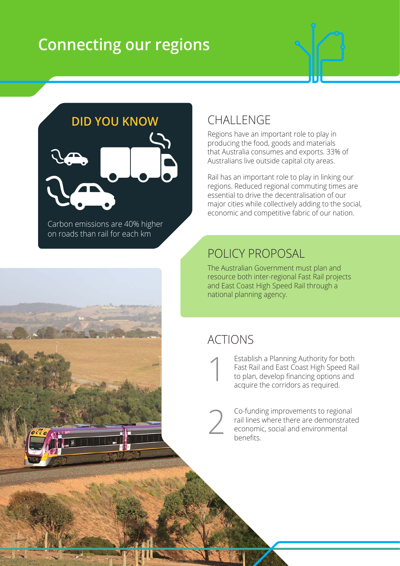# **Connecting our regions**



**DID YOU KNOW**



Carbon emissions are 40% higher on roads than rail for each km

# **CHALLENGE**

Regions have an important role to play in producing the food, goods and materials that Australia consumes and exports. 33% of Australians live outside capital city areas.

Rail has an important role to play in linking our regions. Reduced regional commuting times are essential to drive the decentralisation of our major cities while collectively adding to the social, economic and competitive fabric of our nation.

# POLICY PROPOSAL

The Australian Government must plan and resource both inter-regional Fast Rail projects and East Coast High Speed Rail through a national planning agency.

## ACTIONS

Establish a Planning Authority for both Fast Rail and East Coast High Speed Rail to plan, develop financing options and acquire the corridors as required. 1

Co-funding improvements to regional rail lines where there are demonstrated economic, social and environmental benefits. 2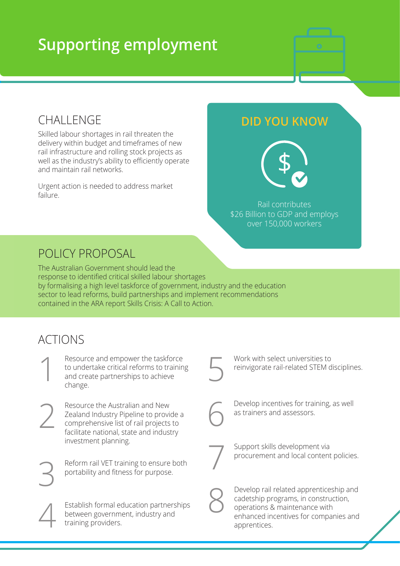# **Supporting employment**



### **CHALLENGE**

Skilled labour shortages in rail threaten the delivery within budget and timeframes of new rail infrastructure and rolling stock projects as well as the industry's ability to efficiently operate and maintain rail networks.

Urgent action is needed to address market failure.

#### **DID YOU KNOW**



Rail contributes \$26 Billion to GDP and employs over 150,000 workers

## POLICY PROPOSAL

The Australian Government should lead the response to identified critical skilled labour shortages by formalising a high level taskforce of government, industry and the education sector to lead reforms, build partnerships and implement recommendations contained in the ARA report Skills Crisis: A Call to Action.

# ACTIONS

Resource and empower the taskforce to undertake critical reforms to training Resource and empower the taskfor<br>to undertake critical reforms to train<br>and create partnerships to achieve<br>change. change. Work with select universities to reinvigorate rail-related STEM disciplines. 5 Establish formal education partnerships between government, industry and<br>training providers. Resource the Australian and New Zealand Industry Pipeline to provide a comprehensive list of rail projects to facilitate national, state and industry investment planning. Resource the Australian and New<br>
Zealand Industry Pipeline to provide a<br>
comprehensive list of rail projects to<br>
facilitate national, state and industry Develop incentives for training, as well<br>as trainers and assessors. Reform rail VET training to ensure both portability and fitness for purpose. Support skills development via procurement and local content policies. 7 Develop rail related apprenticeship and cadetship programs, in construction, operations & maintenance with enhanced incentives for companies and apprentices. 8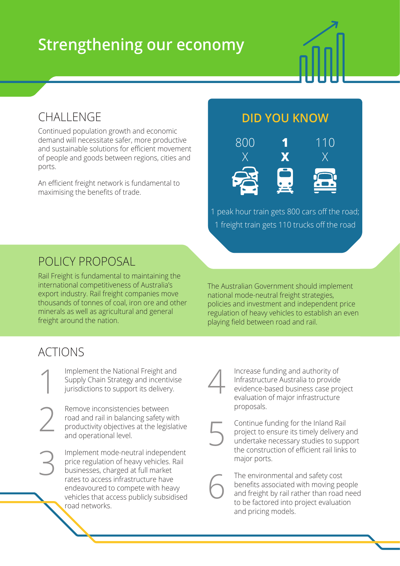# **Strengthening our economy**

### CHALLENGE

Continued population growth and economic demand will necessitate safer, more productive and sustainable solutions for efficient movement of people and goods between regions, cities and ports.

An efficient freight network is fundamental to maximising the benefits of trade.

#### **DID YOU KNOW**



1 peak hour train gets 800 cars off the road; 1 freight train gets 110 trucks off the road

### POLICY PROPOSAL

Rail Freight is fundamental to maintaining the international competitiveness of Australia's export industry. Rail freight companies move thousands of tonnes of coal, iron ore and other minerals as well as agricultural and general freight around the nation.

The Australian Government should implement national mode-neutral freight strategies, policies and investment and independent price regulation of heavy vehicles to establish an even playing field between road and rail.

# ACTIONS

3

Implement the National Freight and Supply Chain Strategy and incentivise jurisdictions to support its delivery. 1

Remove inconsistencies between road and rail in balancing safety with productivity objectives at the legislative and operational level. 2

> Implement mode-neutral independent price regulation of heavy vehicles. Rail businesses, charged at full market rates to access infrastructure have endeavoured to compete with heavy vehicles that access publicly subsidised road networks.

Increase funding and authority of Infrastructure Australia to provide evidence-based business case project evaluation of major infrastructure proposals. 4

5

Continue funding for the Inland Rail project to ensure its timely delivery and undertake necessary studies to support the construction of efficient rail links to major ports.

The environmental and safety cost benefits associated with moving people and freight by rail rather than road need to be factored into project evaluation and pricing models. 6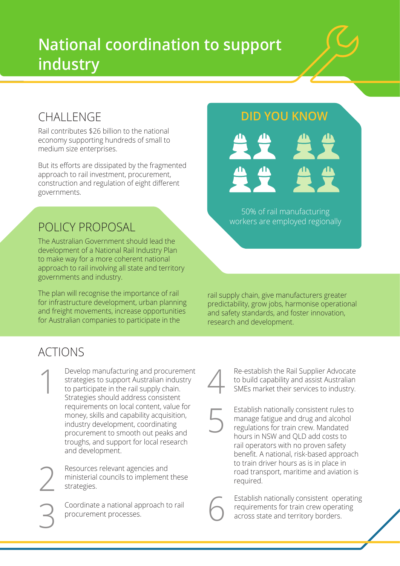# **National coordination to support industry**

## CHALLENGE

Rail contributes \$26 billion to the national economy supporting hundreds of small to medium size enterprises.

But its efforts are dissipated by the fragmented approach to rail investment, procurement, construction and regulation of eight different governments.

### POLICY PROPOSAL

The Australian Government should lead the development of a National Rail Industry Plan to make way for a more coherent national approach to rail involving all state and territory governments and industry.

The plan will recognise the importance of rail for infrastructure development, urban planning and freight movements, increase opportunities for Australian companies to participate in the

#### **DID YOU KNOW**



50% of rail manufacturing workers are employed regionally

rail supply chain, give manufacturers greater predictability, grow jobs, harmonise operational and safety standards, and foster innovation, research and development.

# ACTIONS

Develop manufacturing and procurement strategies to support Australian industry to participate in the rail supply chain. Strategies should address consistent requirements on local content, value for money, skills and capability acquisition, industry development, coordinating procurement to smooth out peaks and troughs, and support for local research and development. Develop manufacturing and procurement<br>strategies to support Australian industry<br>to participate in the rail supply chain.<br>Strategies should address consistent<br>Strategies should address consistent

Resources relevant agencies and ministerial councils to implement these strategies.

Coordinate a national approach to rail procurement processes.

Re-establish the Rail Supplier Advocate<br>to build capability and assist Australian<br>SMEs market their services to industry.

Establish nationally consistent rules to 5

manage fatigue and drug and alcohol regulations for train crew. Mandated hours in NSW and QLD add costs to rail operators with no proven safety benefit. A national, risk-based approach to train driver hours as is in place in road transport, maritime and aviation is required.

Establish nationally consistent operating requirements for train crew operating<br>across state and territory borders.